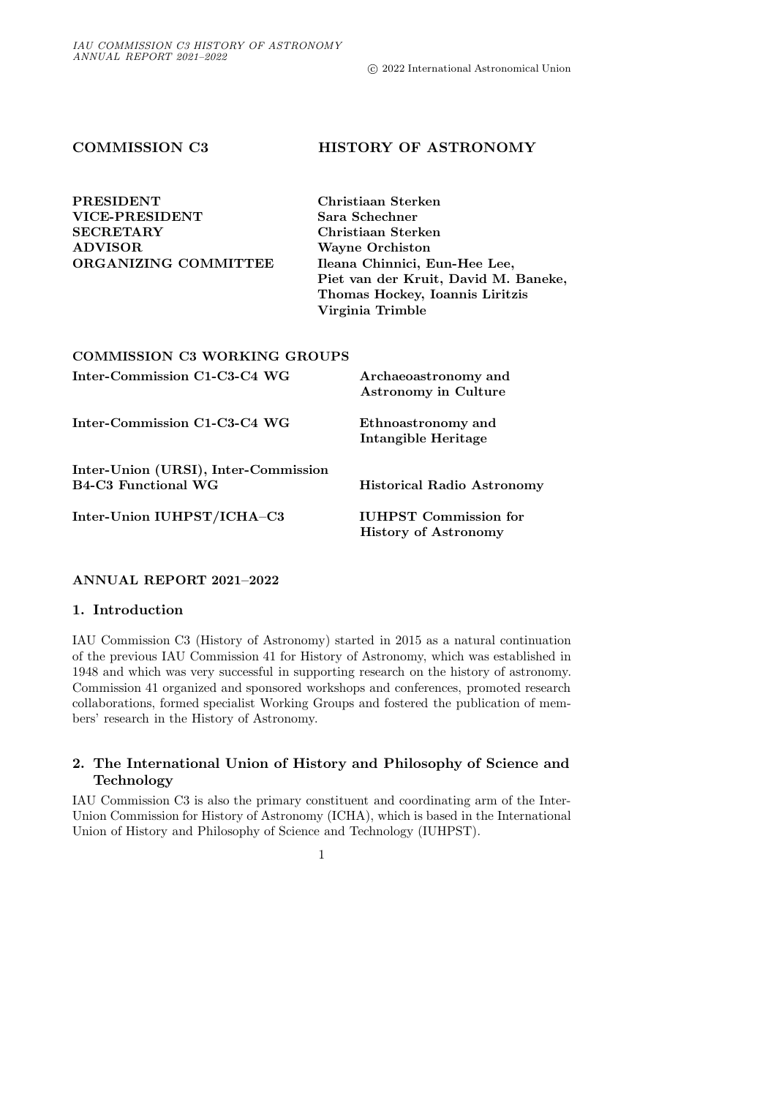# COMMISSION C3 HISTORY OF ASTRONOMY

| <b>PRESIDENT</b>                    | Christiaan Sterken                   |
|-------------------------------------|--------------------------------------|
| <b>VICE-PRESIDENT</b>               | Sara Schechner                       |
| <b>SECRETARY</b>                    | Christiaan Sterken                   |
| <b>ADVISOR</b>                      | <b>Wayne Orchiston</b>               |
| ORGANIZING COMMITTEE                | Ileana Chinnici, Eun-Hee Lee,        |
|                                     | Piet van der Kruit, David M. Baneke, |
|                                     | Thomas Hockey, Ioannis Liritzis      |
|                                     | Virginia Trimble                     |
|                                     |                                      |
| <b>COMMISSION C3 WORKING GROUPS</b> |                                      |

| Inter-Commission C1-C3-C4 WG                                       | Archaeoastronomy and<br><b>Astronomy in Culture</b>         |
|--------------------------------------------------------------------|-------------------------------------------------------------|
| Inter-Commission C1-C3-C4 WG                                       | Ethnoastronomy and<br>Intangible Heritage                   |
| Inter-Union (URSI), Inter-Commission<br><b>B4-C3 Functional WG</b> | <b>Historical Radio Astronomy</b>                           |
| Inter-Union IUHPST/ICHA-C3                                         | <b>IUHPST</b> Commission for<br><b>History of Astronomy</b> |

# ANNUAL REPORT 2021–2022

## 1. Introduction

IAU Commission C3 (History of Astronomy) started in 2015 as a natural continuation of the previous IAU Commission 41 for History of Astronomy, which was established in 1948 and which was very successful in supporting research on the history of astronomy. Commission 41 organized and sponsored workshops and conferences, promoted research collaborations, formed specialist Working Groups and fostered the publication of members' research in the History of Astronomy.

# 2. The International Union of History and Philosophy of Science and Technology

IAU Commission C3 is also the primary constituent and coordinating arm of the Inter-Union Commission for History of Astronomy (ICHA), which is based in the International Union of History and Philosophy of Science and Technology (IUHPST).

1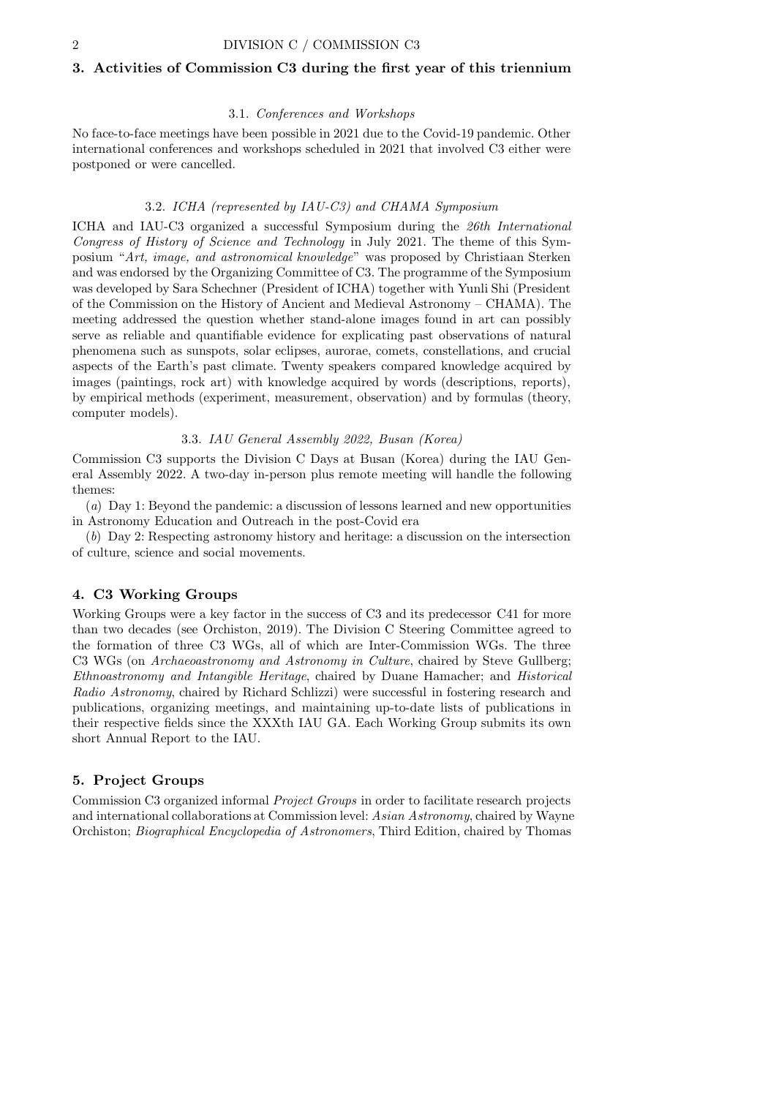# 3. Activities of Commission C3 during the first year of this triennium

## 3.1. Conferences and Workshops

No face-to-face meetings have been possible in 2021 due to the Covid-19 pandemic. Other international conferences and workshops scheduled in 2021 that involved C3 either were postponed or were cancelled.

### 3.2. ICHA (represented by IAU-C3) and CHAMA Symposium

ICHA and IAU-C3 organized a successful Symposium during the 26th International Congress of History of Science and Technology in July 2021. The theme of this Symposium "Art, image, and astronomical knowledge" was proposed by Christiaan Sterken and was endorsed by the Organizing Committee of C3. The programme of the Symposium was developed by Sara Schechner (President of ICHA) together with Yunli Shi (President of the Commission on the History of Ancient and Medieval Astronomy – CHAMA). The meeting addressed the question whether stand-alone images found in art can possibly serve as reliable and quantifiable evidence for explicating past observations of natural phenomena such as sunspots, solar eclipses, aurorae, comets, constellations, and crucial aspects of the Earth's past climate. Twenty speakers compared knowledge acquired by images (paintings, rock art) with knowledge acquired by words (descriptions, reports), by empirical methods (experiment, measurement, observation) and by formulas (theory, computer models).

### 3.3. IAU General Assembly 2022, Busan (Korea)

Commission C3 supports the Division C Days at Busan (Korea) during the IAU General Assembly 2022. A two-day in-person plus remote meeting will handle the following themes:

(a) Day 1: Beyond the pandemic: a discussion of lessons learned and new opportunities in Astronomy Education and Outreach in the post-Covid era

(b) Day 2: Respecting astronomy history and heritage: a discussion on the intersection of culture, science and social movements.

## 4. C3 Working Groups

Working Groups were a key factor in the success of C3 and its predecessor C41 for more than two decades (see Orchiston, 2019). The Division C Steering Committee agreed to the formation of three C3 WGs, all of which are Inter-Commission WGs. The three C3 WGs (on *Archaeoastronomy and Astronomy in Culture*, chaired by Steve Gullberg; Ethnoastronomy and Intangible Heritage, chaired by Duane Hamacher; and Historical Radio Astronomy, chaired by Richard Schlizzi) were successful in fostering research and publications, organizing meetings, and maintaining up-to-date lists of publications in their respective fields since the XXXth IAU GA. Each Working Group submits its own short Annual Report to the IAU.

## 5. Project Groups

Commission C3 organized informal Project Groups in order to facilitate research projects and international collaborations at Commission level: Asian Astronomy, chaired by Wayne Orchiston; Biographical Encyclopedia of Astronomers, Third Edition, chaired by Thomas